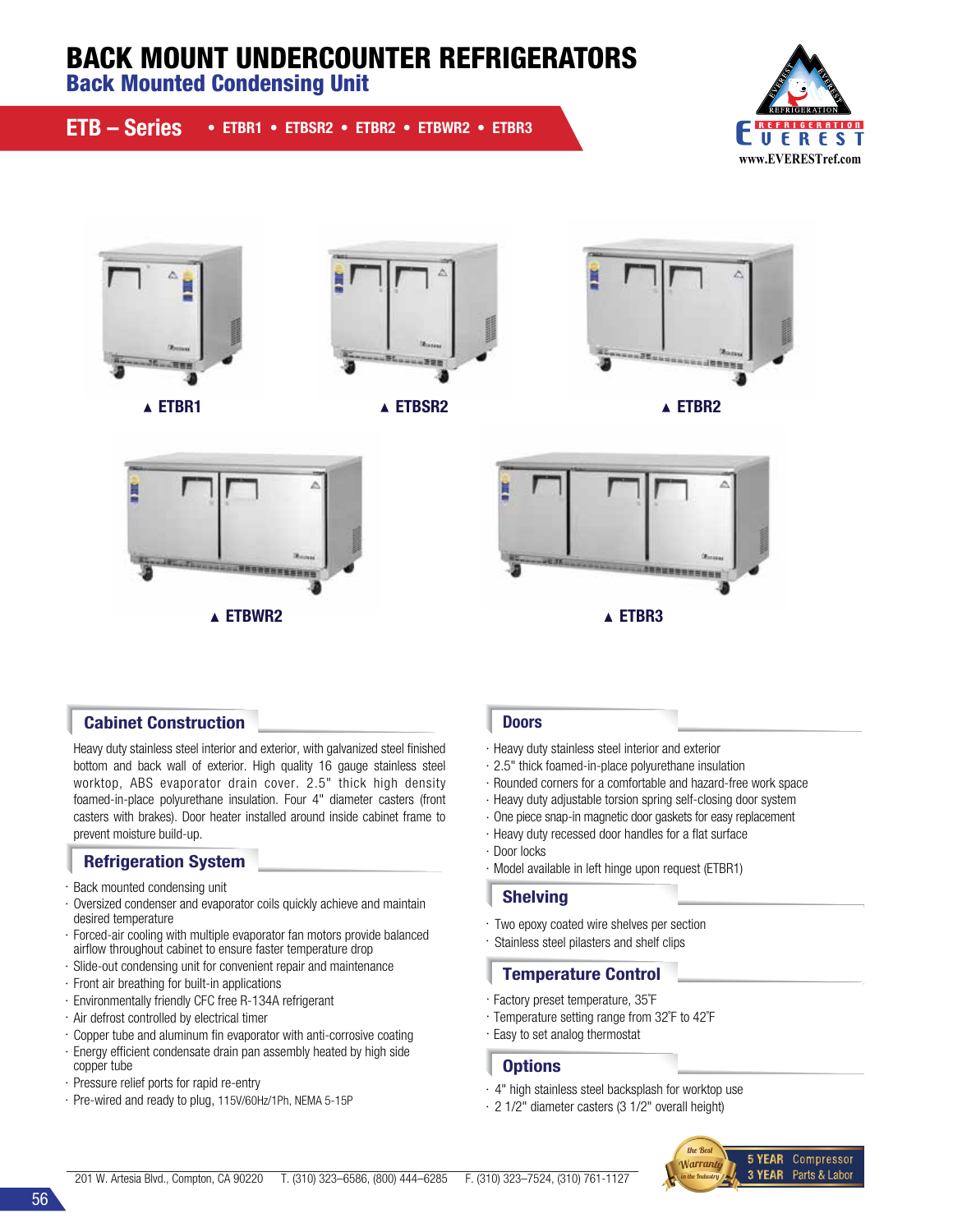# BACK MOUNT UNDERCOUNTER REFRIGERATORS

Back Mounted Condensing Unit















Heavy duty stainless steel interior and exterior, with galvanized steel finished bottom and back wall of exterior. High quality 16 gauge stainless steel worktop, ABS evaporator drain cover. 2.5" thick high density foamed-in-place polyurethane insulation. Four 4" diameter casters (front casters with brakes). Door heater installed around inside cabinet frame to prevent moisture build-up.

## Refrigeration System

- · Back mounted condensing unit
- · Oversized condenser and evaporator coils quickly achieve and maintain desired temperature
- · Forced-air cooling with multiple evaporator fan motors provide balanced airflow throughout cabinet to ensure faster temperature drop
- · Slide-out condensing unit for convenient repair and maintenance
- · Front air breathing for built-in applications
- · Environmentally friendly CFC free R-134A refrigerant
- · Air defrost controlled by electrical timer
- · Copper tube and aluminum fin evaporator with anti-corrosive coating
- · Energy efficient condensate drain pan assembly heated by high side copper tube
- · Pressure relief ports for rapid re-entry
- · Pre-wired and ready to plug, 115V/60Hz/1Ph, NEMA 5-15P

- · Heavy duty stainless steel interior and exterior
- · 2.5" thick foamed-in-place polyurethane insulation
- · Rounded corners for a comfortable and hazard-free work space
- · Heavy duty adjustable torsion spring self-closing door system
- · One piece snap-in magnetic door gaskets for easy replacement
- · Heavy duty recessed door handles for a flat surface
- · Door locks
- · Model available in left hinge upon request (ETBR1)

#### Shelving

- · Two epoxy coated wire shelves per section
- · Stainless steel pilasters and shelf clips

### Temperature Control

- · Factory preset temperature, 35˚F
- · Temperature setting range from 32˚F to 42˚F
- · Easy to set analog thermostat

#### **Options**

- · 4" high stainless steel backsplash for worktop use
- · 2 1/2" diameter casters (3 1/2" overall height)